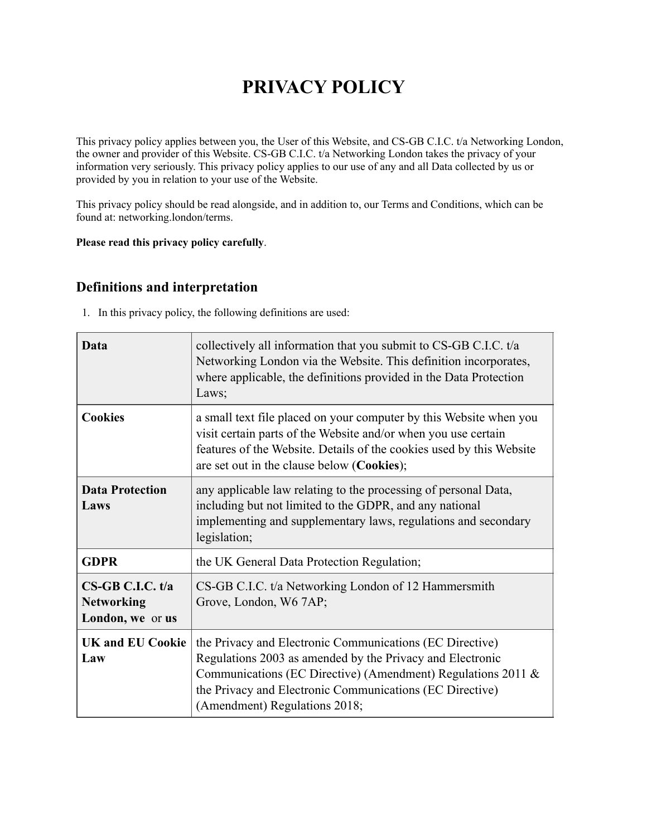# **PRIVACY POLICY**

This privacy policy applies between you, the User of this Website, and CS-GB C.I.C. t/a Networking London, the owner and provider of this Website. CS-GB C.I.C. t/a Networking London takes the privacy of your information very seriously. This privacy policy applies to our use of any and all Data collected by us or provided by you in relation to your use of the Website.

This privacy policy should be read alongside, and in addition to, our Terms and Conditions, which can be found at: networking.london/terms.

#### **Please read this privacy policy carefully**.

## **Definitions and interpretation**

1. In this privacy policy, the following definitions are used:

| Data                                                        | collectively all information that you submit to CS-GB C.I.C. t/a<br>Networking London via the Website. This definition incorporates,<br>where applicable, the definitions provided in the Data Protection<br>Laws;                                                                 |
|-------------------------------------------------------------|------------------------------------------------------------------------------------------------------------------------------------------------------------------------------------------------------------------------------------------------------------------------------------|
| <b>Cookies</b>                                              | a small text file placed on your computer by this Website when you<br>visit certain parts of the Website and/or when you use certain<br>features of the Website. Details of the cookies used by this Website<br>are set out in the clause below (Cookies);                         |
| <b>Data Protection</b><br>Laws                              | any applicable law relating to the processing of personal Data,<br>including but not limited to the GDPR, and any national<br>implementing and supplementary laws, regulations and secondary<br>legislation;                                                                       |
| <b>GDPR</b>                                                 | the UK General Data Protection Regulation;                                                                                                                                                                                                                                         |
| $CS-GB$ C.I.C. t/a<br><b>Networking</b><br>London, we or us | CS-GB C.I.C. t/a Networking London of 12 Hammersmith<br>Grove, London, W6 7AP;                                                                                                                                                                                                     |
| <b>UK and EU Cookie</b><br>Law                              | the Privacy and Electronic Communications (EC Directive)<br>Regulations 2003 as amended by the Privacy and Electronic<br>Communications (EC Directive) (Amendment) Regulations 2011 &<br>the Privacy and Electronic Communications (EC Directive)<br>(Amendment) Regulations 2018; |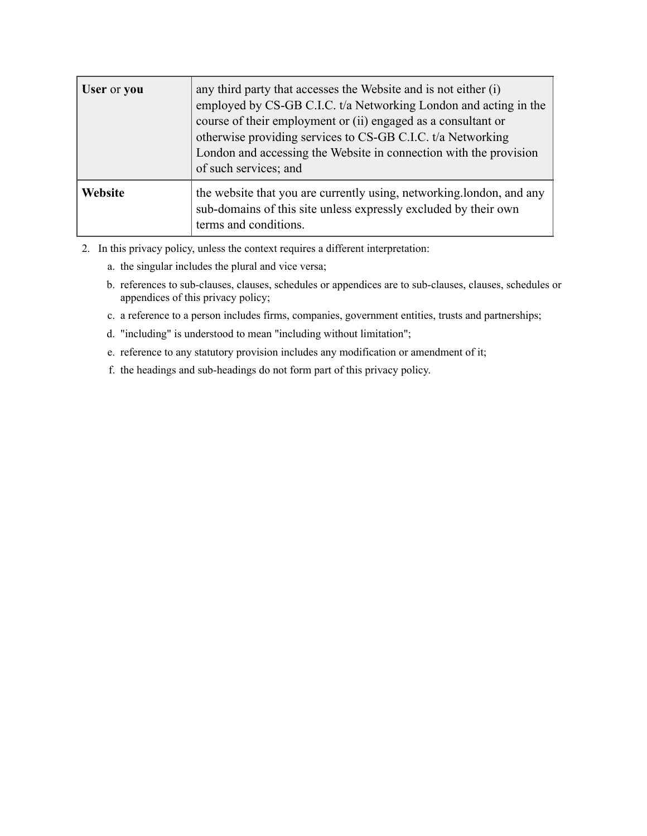| User or you | any third party that accesses the Website and is not either (i)<br>employed by CS-GB C.I.C. t/a Networking London and acting in the<br>course of their employment or (ii) engaged as a consultant or<br>otherwise providing services to CS-GB C.I.C. t/a Networking<br>London and accessing the Website in connection with the provision<br>of such services; and |
|-------------|-------------------------------------------------------------------------------------------------------------------------------------------------------------------------------------------------------------------------------------------------------------------------------------------------------------------------------------------------------------------|
| Website     | the website that you are currently using, networking london, and any<br>sub-domains of this site unless expressly excluded by their own<br>terms and conditions.                                                                                                                                                                                                  |

- 2. In this privacy policy, unless the context requires a different interpretation:
	- a. the singular includes the plural and vice versa;
	- b. references to sub-clauses, clauses, schedules or appendices are to sub-clauses, clauses, schedules or appendices of this privacy policy;
	- c. a reference to a person includes firms, companies, government entities, trusts and partnerships;
	- d. "including" is understood to mean "including without limitation";
	- e. reference to any statutory provision includes any modification or amendment of it;
	- f. the headings and sub-headings do not form part of this privacy policy.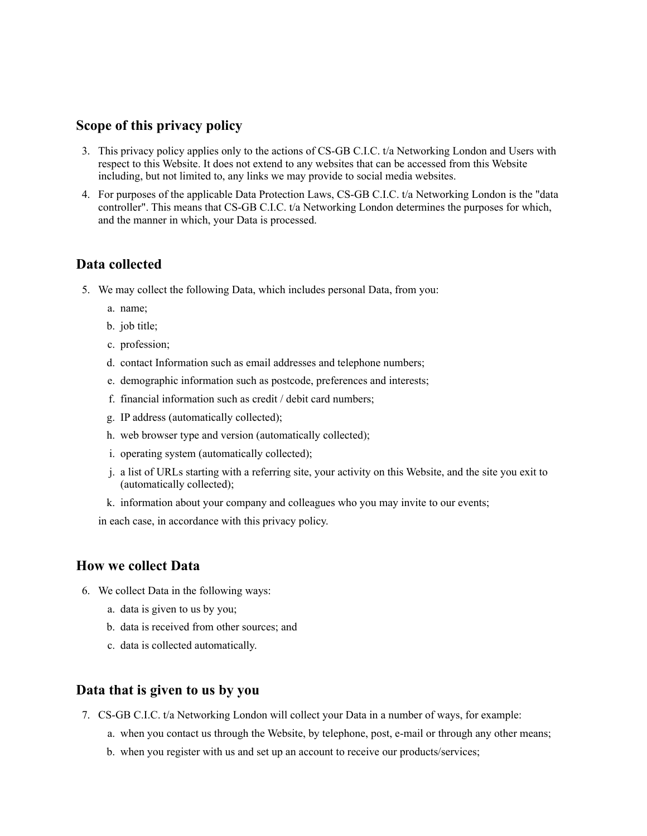#### **Scope of this privacy policy**

- 3. This privacy policy applies only to the actions of CS-GB C.I.C. t/a Networking London and Users with respect to this Website. It does not extend to any websites that can be accessed from this Website including, but not limited to, any links we may provide to social media websites.
- 4. For purposes of the applicable Data Protection Laws, CS-GB C.I.C. t/a Networking London is the "data controller". This means that CS-GB C.I.C. t/a Networking London determines the purposes for which, and the manner in which, your Data is processed.

### **Data collected**

- 5. We may collect the following Data, which includes personal Data, from you:
	- a. name;
	- b. job title;
	- c. profession;
	- d. contact Information such as email addresses and telephone numbers;
	- e. demographic information such as postcode, preferences and interests;
	- f. financial information such as credit / debit card numbers;
	- g. IP address (automatically collected);
	- h. web browser type and version (automatically collected);
	- i. operating system (automatically collected);
	- j. a list of URLs starting with a referring site, your activity on this Website, and the site you exit to (automatically collected);
	- k. information about your company and colleagues who you may invite to our events;

in each case, in accordance with this privacy policy.

#### **How we collect Data**

- 6. We collect Data in the following ways:
	- a. data is given to us by you;
	- b. data is received from other sources; and
	- c. data is collected automatically.

#### **Data that is given to us by you**

- 7. CS-GB C.I.C. t/a Networking London will collect your Data in a number of ways, for example:
	- a. when you contact us through the Website, by telephone, post, e-mail or through any other means;
	- b. when you register with us and set up an account to receive our products/services;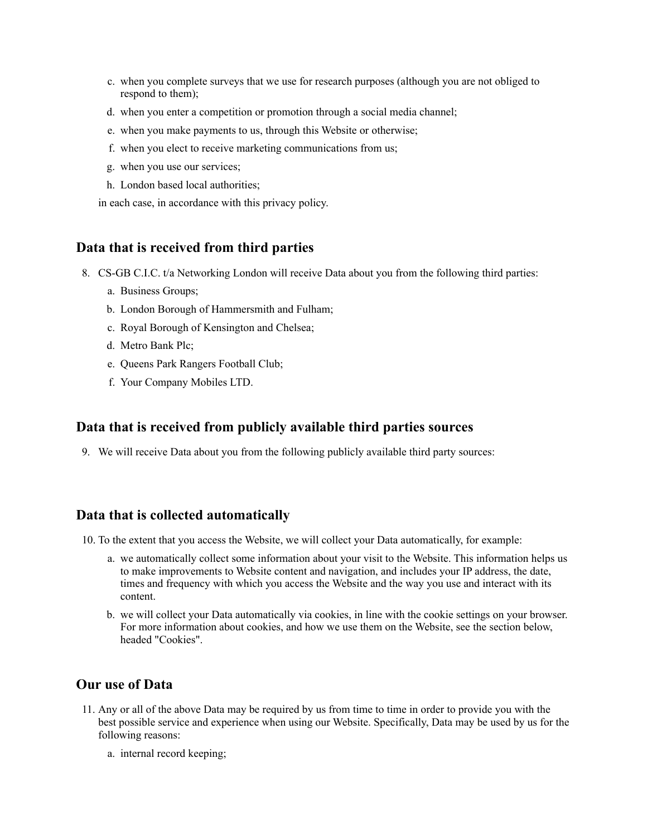- c. when you complete surveys that we use for research purposes (although you are not obliged to respond to them);
- d. when you enter a competition or promotion through a social media channel;
- e. when you make payments to us, through this Website or otherwise;
- f. when you elect to receive marketing communications from us;
- g. when you use our services;
- h. London based local authorities;

in each case, in accordance with this privacy policy.

## **Data that is received from third parties**

- 8. CS-GB C.I.C. t/a Networking London will receive Data about you from the following third parties:
	- a. Business Groups;
	- b. London Borough of Hammersmith and Fulham;
	- c. Royal Borough of Kensington and Chelsea;
	- d. Metro Bank Plc;
	- e. Queens Park Rangers Football Club;
	- f. Your Company Mobiles LTD.

# **Data that is received from publicly available third parties sources**

9. We will receive Data about you from the following publicly available third party sources:

### **Data that is collected automatically**

- 10. To the extent that you access the Website, we will collect your Data automatically, for example:
	- a. we automatically collect some information about your visit to the Website. This information helps us to make improvements to Website content and navigation, and includes your IP address, the date, times and frequency with which you access the Website and the way you use and interact with its content.
	- b. we will collect your Data automatically via cookies, in line with the cookie settings on your browser. For more information about cookies, and how we use them on the Website, see the section below, headed "Cookies".

# **Our use of Data**

- 11. Any or all of the above Data may be required by us from time to time in order to provide you with the best possible service and experience when using our Website. Specifically, Data may be used by us for the following reasons:
	- a. internal record keeping;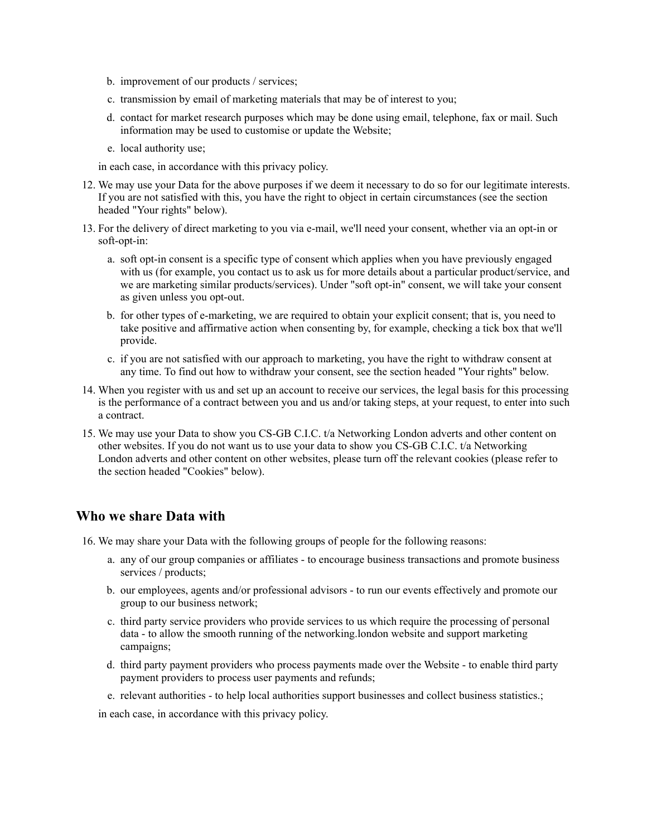- b. improvement of our products / services;
- c. transmission by email of marketing materials that may be of interest to you;
- d. contact for market research purposes which may be done using email, telephone, fax or mail. Such information may be used to customise or update the Website;
- e. local authority use;

in each case, in accordance with this privacy policy.

- 12. We may use your Data for the above purposes if we deem it necessary to do so for our legitimate interests. If you are not satisfied with this, you have the right to object in certain circumstances (see the section headed "Your rights" below).
- 13. For the delivery of direct marketing to you via e-mail, we'll need your consent, whether via an opt-in or soft-opt-in:
	- a. soft opt-in consent is a specific type of consent which applies when you have previously engaged with us (for example, you contact us to ask us for more details about a particular product/service, and we are marketing similar products/services). Under "soft opt-in" consent, we will take your consent as given unless you opt-out.
	- b. for other types of e-marketing, we are required to obtain your explicit consent; that is, you need to take positive and affirmative action when consenting by, for example, checking a tick box that we'll provide.
	- c. if you are not satisfied with our approach to marketing, you have the right to withdraw consent at any time. To find out how to withdraw your consent, see the section headed "Your rights" below.
- 14. When you register with us and set up an account to receive our services, the legal basis for this processing is the performance of a contract between you and us and/or taking steps, at your request, to enter into such a contract.
- 15. We may use your Data to show you CS-GB C.I.C. t/a Networking London adverts and other content on other websites. If you do not want us to use your data to show you CS-GB C.I.C. t/a Networking London adverts and other content on other websites, please turn off the relevant cookies (please refer to the section headed "Cookies" below).

### **Who we share Data with**

- 16. We may share your Data with the following groups of people for the following reasons:
	- a. any of our group companies or affiliates to encourage business transactions and promote business services / products;
	- b. our employees, agents and/or professional advisors to run our events effectively and promote our group to our business network;
	- c. third party service providers who provide services to us which require the processing of personal data - to allow the smooth running of the networking.london website and support marketing campaigns;
	- d. third party payment providers who process payments made over the Website to enable third party payment providers to process user payments and refunds;
	- e. relevant authorities to help local authorities support businesses and collect business statistics.;

in each case, in accordance with this privacy policy.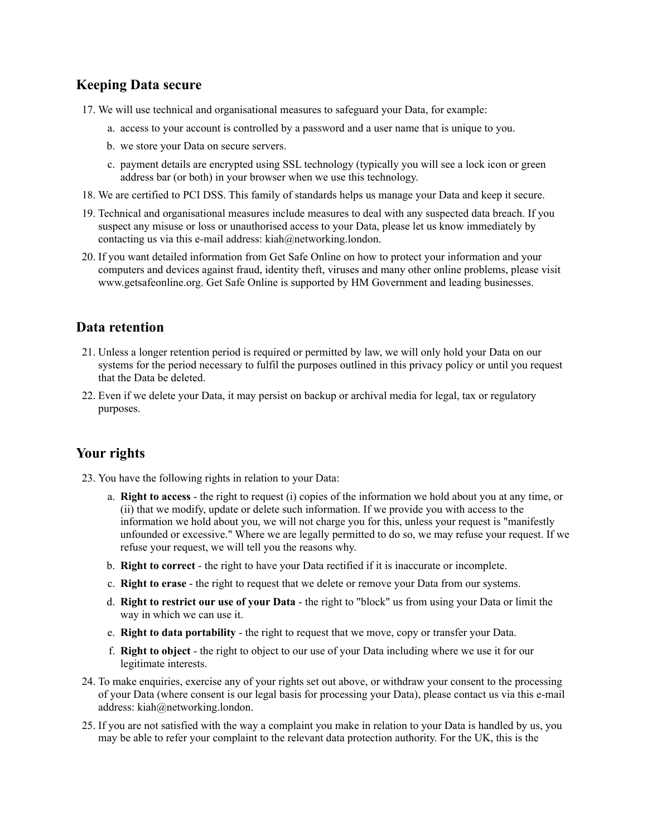# **Keeping Data secure**

- 17. We will use technical and organisational measures to safeguard your Data, for example:
	- a. access to your account is controlled by a password and a user name that is unique to you.
	- b. we store your Data on secure servers.
	- c. payment details are encrypted using SSL technology (typically you will see a lock icon or green address bar (or both) in your browser when we use this technology.
- 18. We are certified to PCI DSS. This family of standards helps us manage your Data and keep it secure.
- 19. Technical and organisational measures include measures to deal with any suspected data breach. If you suspect any misuse or loss or unauthorised access to your Data, please let us know immediately by contacting us via this e-mail address: kiah@networking.london.
- 20. If you want detailed information from Get Safe Online on how to protect your information and your computers and devices against fraud, identity theft, viruses and many other online problems, please visit www.getsafeonline.org. Get Safe Online is supported by HM Government and leading businesses.

# **Data retention**

- 21. Unless a longer retention period is required or permitted by law, we will only hold your Data on our systems for the period necessary to fulfil the purposes outlined in this privacy policy or until you request that the Data be deleted.
- 22. Even if we delete your Data, it may persist on backup or archival media for legal, tax or regulatory purposes.

# **Your rights**

23. You have the following rights in relation to your Data:

- a. **Right to access** the right to request (i) copies of the information we hold about you at any time, or (ii) that we modify, update or delete such information. If we provide you with access to the information we hold about you, we will not charge you for this, unless your request is "manifestly unfounded or excessive." Where we are legally permitted to do so, we may refuse your request. If we refuse your request, we will tell you the reasons why.
- b. **Right to correct** the right to have your Data rectified if it is inaccurate or incomplete.
- c. **Right to erase** the right to request that we delete or remove your Data from our systems.
- d. **Right to restrict our use of your Data** the right to "block" us from using your Data or limit the way in which we can use it.
- e. **Right to data portability** the right to request that we move, copy or transfer your Data.
- f. **Right to object** the right to object to our use of your Data including where we use it for our legitimate interests.
- 24. To make enquiries, exercise any of your rights set out above, or withdraw your consent to the processing of your Data (where consent is our legal basis for processing your Data), please contact us via this e-mail address: kiah@networking.london.
- 25. If you are not satisfied with the way a complaint you make in relation to your Data is handled by us, you may be able to refer your complaint to the relevant data protection authority. For the UK, this is the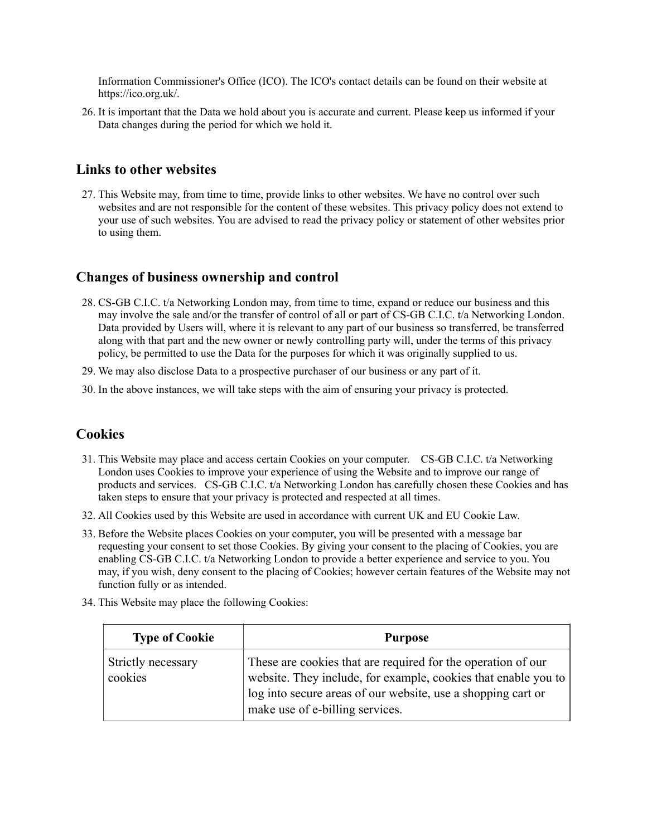Information Commissioner's Office (ICO). The ICO's contact details can be found on their website at https://ico.org.uk/.

26. It is important that the Data we hold about you is accurate and current. Please keep us informed if your Data changes during the period for which we hold it.

## **Links to other websites**

27. This Website may, from time to time, provide links to other websites. We have no control over such websites and are not responsible for the content of these websites. This privacy policy does not extend to your use of such websites. You are advised to read the privacy policy or statement of other websites prior to using them.

# **Changes of business ownership and control**

- 28. CS-GB C.I.C. t/a Networking London may, from time to time, expand or reduce our business and this may involve the sale and/or the transfer of control of all or part of CS-GB C.I.C. t/a Networking London. Data provided by Users will, where it is relevant to any part of our business so transferred, be transferred along with that part and the new owner or newly controlling party will, under the terms of this privacy policy, be permitted to use the Data for the purposes for which it was originally supplied to us.
- 29. We may also disclose Data to a prospective purchaser of our business or any part of it.
- 30. In the above instances, we will take steps with the aim of ensuring your privacy is protected.

# **Cookies**

- 31. This Website may place and access certain Cookies on your computer. CS-GB C.I.C. t/a Networking London uses Cookies to improve your experience of using the Website and to improve our range of products and services. CS-GB C.I.C. t/a Networking London has carefully chosen these Cookies and has taken steps to ensure that your privacy is protected and respected at all times.
- 32. All Cookies used by this Website are used in accordance with current UK and EU Cookie Law.
- 33. Before the Website places Cookies on your computer, you will be presented with a message bar requesting your consent to set those Cookies. By giving your consent to the placing of Cookies, you are enabling CS-GB C.I.C. t/a Networking London to provide a better experience and service to you. You may, if you wish, deny consent to the placing of Cookies; however certain features of the Website may not function fully or as intended.
- 34. This Website may place the following Cookies:

| <b>Type of Cookie</b>         | <b>Purpose</b>                                                                                                                                                                                                                    |
|-------------------------------|-----------------------------------------------------------------------------------------------------------------------------------------------------------------------------------------------------------------------------------|
| Strictly necessary<br>cookies | These are cookies that are required for the operation of our<br>website. They include, for example, cookies that enable you to<br>log into secure areas of our website, use a shopping cart or<br>make use of e-billing services. |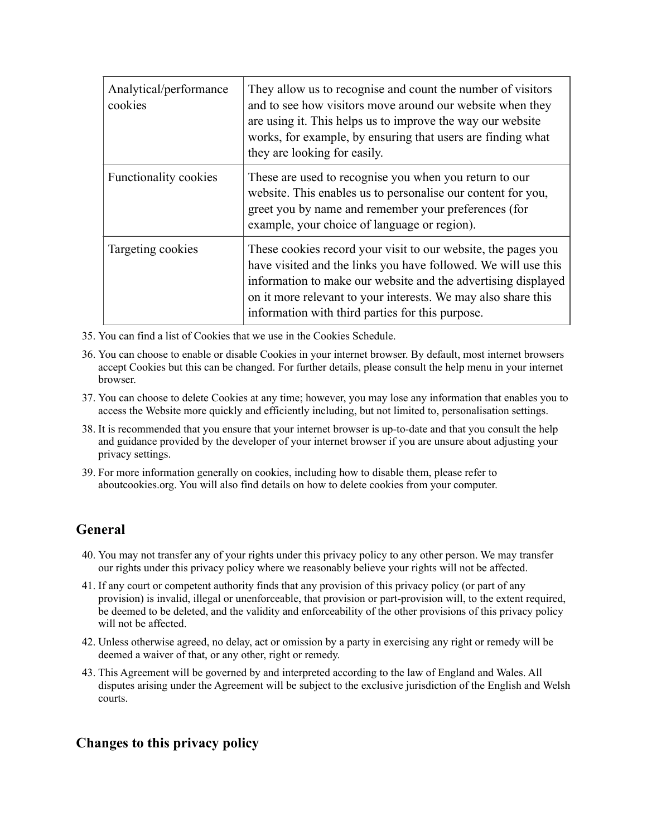| Analytical/performance<br>cookies | They allow us to recognise and count the number of visitors<br>and to see how visitors move around our website when they<br>are using it. This helps us to improve the way our website<br>works, for example, by ensuring that users are finding what<br>they are looking for easily.                                 |
|-----------------------------------|-----------------------------------------------------------------------------------------------------------------------------------------------------------------------------------------------------------------------------------------------------------------------------------------------------------------------|
| <b>Functionality cookies</b>      | These are used to recognise you when you return to our<br>website. This enables us to personalise our content for you,<br>greet you by name and remember your preferences (for<br>example, your choice of language or region).                                                                                        |
| Targeting cookies                 | These cookies record your visit to our website, the pages you<br>have visited and the links you have followed. We will use this<br>information to make our website and the advertising displayed<br>on it more relevant to your interests. We may also share this<br>information with third parties for this purpose. |

- 35. You can find a list of Cookies that we use in the Cookies Schedule.
- 36. You can choose to enable or disable Cookies in your internet browser. By default, most internet browsers accept Cookies but this can be changed. For further details, please consult the help menu in your internet browser.
- 37. You can choose to delete Cookies at any time; however, you may lose any information that enables you to access the Website more quickly and efficiently including, but not limited to, personalisation settings.
- 38. It is recommended that you ensure that your internet browser is up-to-date and that you consult the help and guidance provided by the developer of your internet browser if you are unsure about adjusting your privacy settings.
- 39. For more information generally on cookies, including how to disable them, please refer to aboutcookies.org. You will also find details on how to delete cookies from your computer.

# **General**

- 40. You may not transfer any of your rights under this privacy policy to any other person. We may transfer our rights under this privacy policy where we reasonably believe your rights will not be affected.
- 41. If any court or competent authority finds that any provision of this privacy policy (or part of any provision) is invalid, illegal or unenforceable, that provision or part-provision will, to the extent required, be deemed to be deleted, and the validity and enforceability of the other provisions of this privacy policy will not be affected.
- 42. Unless otherwise agreed, no delay, act or omission by a party in exercising any right or remedy will be deemed a waiver of that, or any other, right or remedy.
- 43. This Agreement will be governed by and interpreted according to the law of England and Wales. All disputes arising under the Agreement will be subject to the exclusive jurisdiction of the English and Welsh courts.

### **Changes to this privacy policy**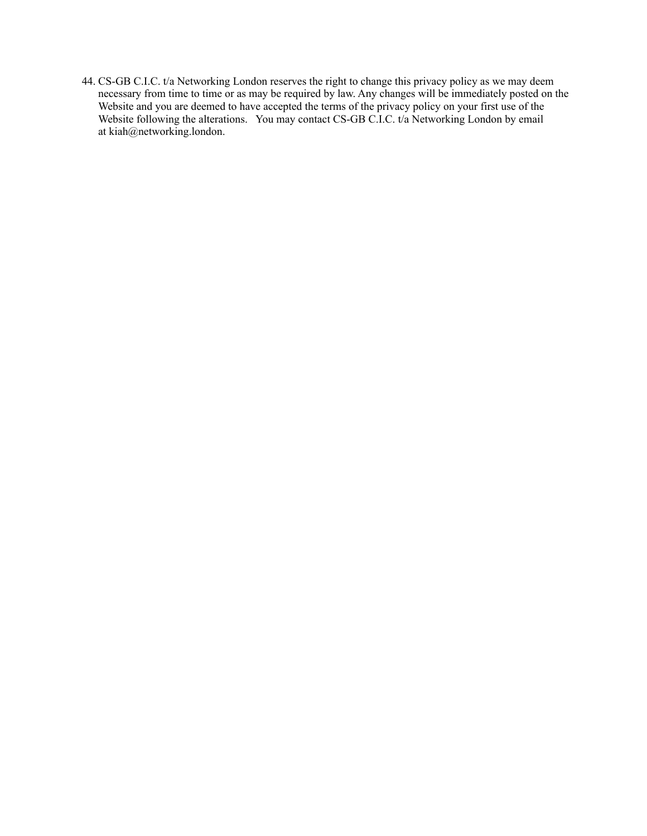44. CS-GB C.I.C. t/a Networking London reserves the right to change this privacy policy as we may deem necessary from time to time or as may be required by law. Any changes will be immediately posted on the Website and you are deemed to have accepted the terms of the privacy policy on your first use of the Website following the alterations. You may contact CS-GB C.I.C. t/a Networking London by email at kiah@networking.london.